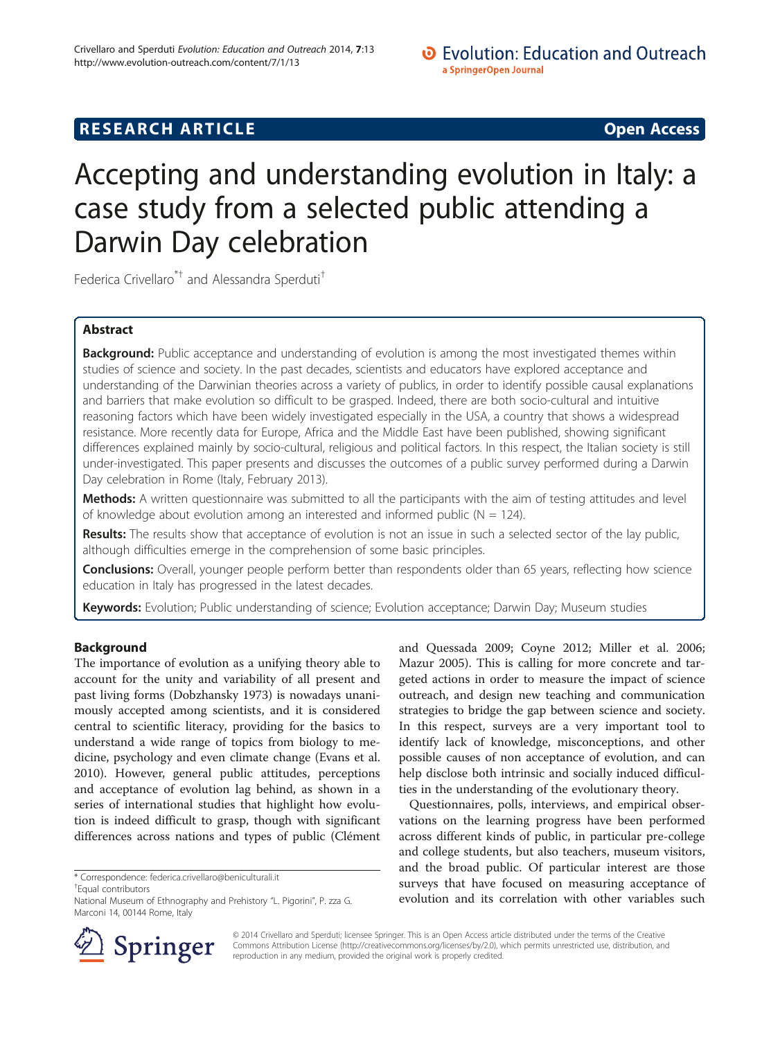# **RESEARCH ARTICLE Example 2014 CONSUMING A RESEARCH ARTICLE**

# Accepting and understanding evolution in Italy: a case study from a selected public attending a Darwin Day celebration

Federica Crivellaro<sup>\*†</sup> and Alessandra Sperduti<sup>†</sup>

# Abstract

**Background:** Public acceptance and understanding of evolution is among the most investigated themes within studies of science and society. In the past decades, scientists and educators have explored acceptance and understanding of the Darwinian theories across a variety of publics, in order to identify possible causal explanations and barriers that make evolution so difficult to be grasped. Indeed, there are both socio-cultural and intuitive reasoning factors which have been widely investigated especially in the USA, a country that shows a widespread resistance. More recently data for Europe, Africa and the Middle East have been published, showing significant differences explained mainly by socio-cultural, religious and political factors. In this respect, the Italian society is still under-investigated. This paper presents and discusses the outcomes of a public survey performed during a Darwin Day celebration in Rome (Italy, February 2013).

Methods: A written questionnaire was submitted to all the participants with the aim of testing attitudes and level of knowledge about evolution among an interested and informed public ( $N = 124$ ).

Results: The results show that acceptance of evolution is not an issue in such a selected sector of the lay public, although difficulties emerge in the comprehension of some basic principles.

**Conclusions:** Overall, younger people perform better than respondents older than 65 years, reflecting how science education in Italy has progressed in the latest decades.

Keywords: Evolution; Public understanding of science; Evolution acceptance; Darwin Day; Museum studies

# Background

The importance of evolution as a unifying theory able to account for the unity and variability of all present and past living forms (Dobzhansky [1973\)](#page-6-0) is nowadays unanimously accepted among scientists, and it is considered central to scientific literacy, providing for the basics to understand a wide range of topics from biology to medicine, psychology and even climate change (Evans et al. [2010](#page-6-0)). However, general public attitudes, perceptions and acceptance of evolution lag behind, as shown in a series of international studies that highlight how evolution is indeed difficult to grasp, though with significant differences across nations and types of public (Clément

Equal contributors



Questionnaires, polls, interviews, and empirical observations on the learning progress have been performed across different kinds of public, in particular pre-college and college students, but also teachers, museum visitors, and the broad public. Of particular interest are those surveys that have focused on measuring acceptance of evolution and its correlation with other variables such



© 2014 Crivellaro and Sperduti; licensee Springer. This is an Open Access article distributed under the terms of the Creative Commons Attribution License (http://creativecommons.org/licenses/by/2.0), which permits unrestricted use, distribution, and reproduction in any medium, provided the original work is properly credited.

<sup>\*</sup> Correspondence: [federica.crivellaro@beniculturali.it](mailto:federica.crivellaro@beniculturali.it) †

National Museum of Ethnography and Prehistory "L. Pigorini", P. zza G. Marconi 14, 00144 Rome, Italy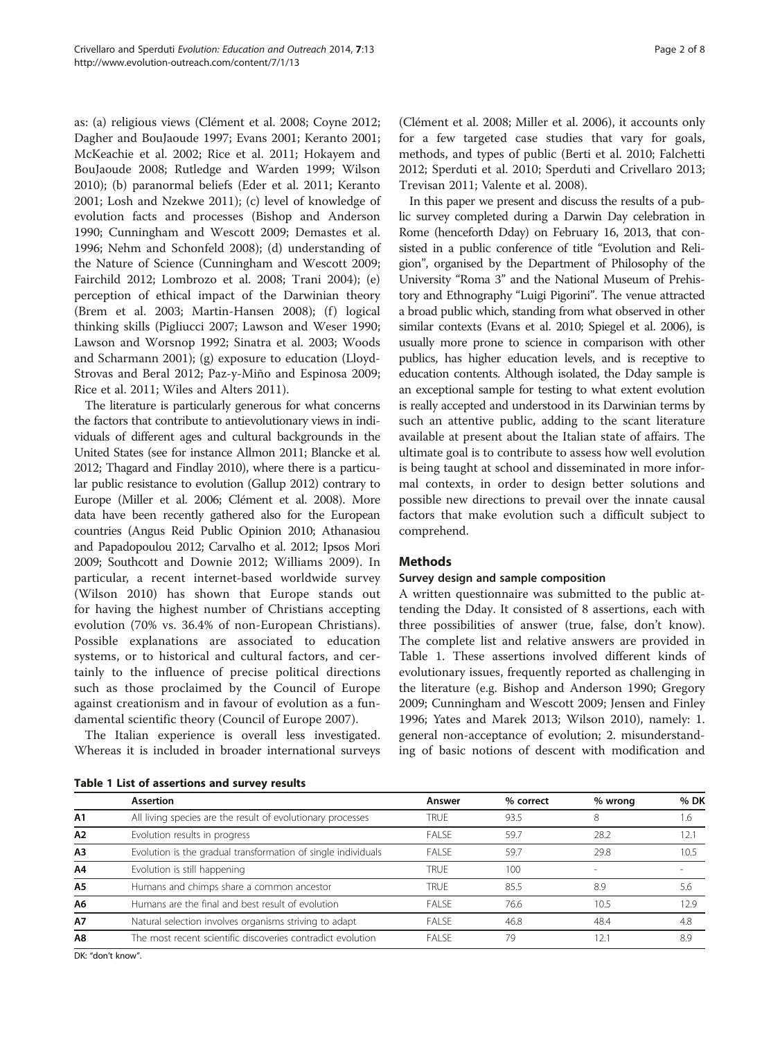<span id="page-1-0"></span>as: (a) religious views (Clément et al. [2008;](#page-5-0) Coyne [2012](#page-6-0); Dagher and BouJaoude [1997;](#page-6-0) Evans [2001](#page-6-0); Keranto [2001](#page-6-0); McKeachie et al. [2002;](#page-6-0) Rice et al. [2011](#page-6-0); Hokayem and BouJaoude [2008;](#page-6-0) Rutledge and Warden [1999](#page-6-0); Wilson [2010](#page-7-0)); (b) paranormal beliefs (Eder et al. [2011;](#page-6-0) Keranto [2001](#page-6-0); Losh and Nzekwe [2011](#page-6-0)); (c) level of knowledge of evolution facts and processes (Bishop and Anderson [1990](#page-5-0); Cunningham and Wescott [2009;](#page-6-0) Demastes et al. [1996](#page-6-0); Nehm and Schonfeld [2008\)](#page-6-0); (d) understanding of the Nature of Science (Cunningham and Wescott [2009](#page-6-0); Fairchild [2012;](#page-6-0) Lombrozo et al. [2008;](#page-6-0) Trani [2004\)](#page-7-0); (e) perception of ethical impact of the Darwinian theory (Brem et al. [2003;](#page-5-0) Martin-Hansen [2008\)](#page-6-0); (f) logical thinking skills (Pigliucci [2007](#page-6-0); Lawson and Weser [1990](#page-6-0); Lawson and Worsnop [1992;](#page-6-0) Sinatra et al. [2003](#page-7-0); Woods and Scharmann [2001\)](#page-7-0); (g) exposure to education (Lloyd-Strovas and Beral [2012](#page-6-0); Paz-y-Miño and Espinosa [2009](#page-6-0); Rice et al. [2011](#page-6-0); Wiles and Alters [2011\)](#page-7-0).

The literature is particularly generous for what concerns the factors that contribute to antievolutionary views in individuals of different ages and cultural backgrounds in the United States (see for instance Allmon [2011](#page-5-0); Blancke et al. [2012;](#page-5-0) Thagard and Findlay [2010\)](#page-7-0), where there is a particular public resistance to evolution (Gallup [2012](#page-6-0)) contrary to Europe (Miller et al. [2006](#page-6-0); Clément et al. [2008\)](#page-5-0). More data have been recently gathered also for the European countries (Angus Reid Public Opinion [2010;](#page-5-0) Athanasiou and Papadopoulou [2012;](#page-5-0) Carvalho et al. [2012;](#page-5-0) Ipsos Mori [2009;](#page-6-0) Southcott and Downie [2012](#page-7-0); Williams [2009](#page-7-0)). In particular, a recent internet-based worldwide survey (Wilson [2010](#page-7-0)) has shown that Europe stands out for having the highest number of Christians accepting evolution (70% vs. 36.4% of non-European Christians). Possible explanations are associated to education systems, or to historical and cultural factors, and certainly to the influence of precise political directions such as those proclaimed by the Council of Europe against creationism and in favour of evolution as a fundamental scientific theory (Council of Europe [2007](#page-6-0)).

The Italian experience is overall less investigated. Whereas it is included in broader international surveys

Table 1 List of assertions and survey results

(Clément et al. [2008](#page-5-0); Miller et al. [2006](#page-6-0)), it accounts only for a few targeted case studies that vary for goals, methods, and types of public (Berti et al. [2010](#page-5-0); Falchetti [2012](#page-6-0); Sperduti et al. [2010](#page-7-0); Sperduti and Crivellaro [2013](#page-7-0); Trevisan [2011;](#page-7-0) Valente et al. [2008](#page-7-0)).

In this paper we present and discuss the results of a public survey completed during a Darwin Day celebration in Rome (henceforth Dday) on February 16, 2013, that consisted in a public conference of title "Evolution and Religion", organised by the Department of Philosophy of the University "Roma 3" and the National Museum of Prehistory and Ethnography "Luigi Pigorini". The venue attracted a broad public which, standing from what observed in other similar contexts (Evans et al. [2010;](#page-6-0) Spiegel et al. [2006\)](#page-7-0), is usually more prone to science in comparison with other publics, has higher education levels, and is receptive to education contents. Although isolated, the Dday sample is an exceptional sample for testing to what extent evolution is really accepted and understood in its Darwinian terms by such an attentive public, adding to the scant literature available at present about the Italian state of affairs. The ultimate goal is to contribute to assess how well evolution is being taught at school and disseminated in more informal contexts, in order to design better solutions and possible new directions to prevail over the innate causal factors that make evolution such a difficult subject to comprehend.

# **Methods**

#### Survey design and sample composition

A written questionnaire was submitted to the public attending the Dday. It consisted of 8 assertions, each with three possibilities of answer (true, false, don't know). The complete list and relative answers are provided in Table 1. These assertions involved different kinds of evolutionary issues, frequently reported as challenging in the literature (e.g. Bishop and Anderson [1990;](#page-5-0) Gregory [2009](#page-6-0); Cunningham and Wescott [2009](#page-6-0); Jensen and Finley [1996](#page-6-0); Yates and Marek [2013](#page-7-0); Wilson [2010](#page-7-0)), namely: 1. general non-acceptance of evolution; 2. misunderstanding of basic notions of descent with modification and

|    | <b>Assertion</b>                                              | Answer       | % correct | $%$ wrong | % DK |
|----|---------------------------------------------------------------|--------------|-----------|-----------|------|
| A1 | All living species are the result of evolutionary processes   | <b>TRUF</b>  | 93.5      | 8         | 1.6  |
| A2 | Evolution results in progress                                 | <b>FAISE</b> | 59.7      | 28.2      | 12.1 |
| A3 | Evolution is the gradual transformation of single individuals | FAI SF       | 59.7      | 29.8      | 10.5 |
| A4 | Evolution is still happening                                  | TRUF         | 100       | ٠         |      |
| A5 | Humans and chimps share a common ancestor                     | <b>TRUF</b>  | 85.5      | 8.9       | 5.6  |
| A6 | Humans are the final and best result of evolution             | <b>FAISE</b> | 76.6      | 10.5      | 12.9 |
| Α7 | Natural selection involves organisms striving to adapt        | <b>FAISE</b> | 46.8      | 48.4      | 4.8  |
| A8 | The most recent scientific discoveries contradict evolution   | <b>FAISE</b> | 79        | 12.       | 8.9  |

DK: "don't know".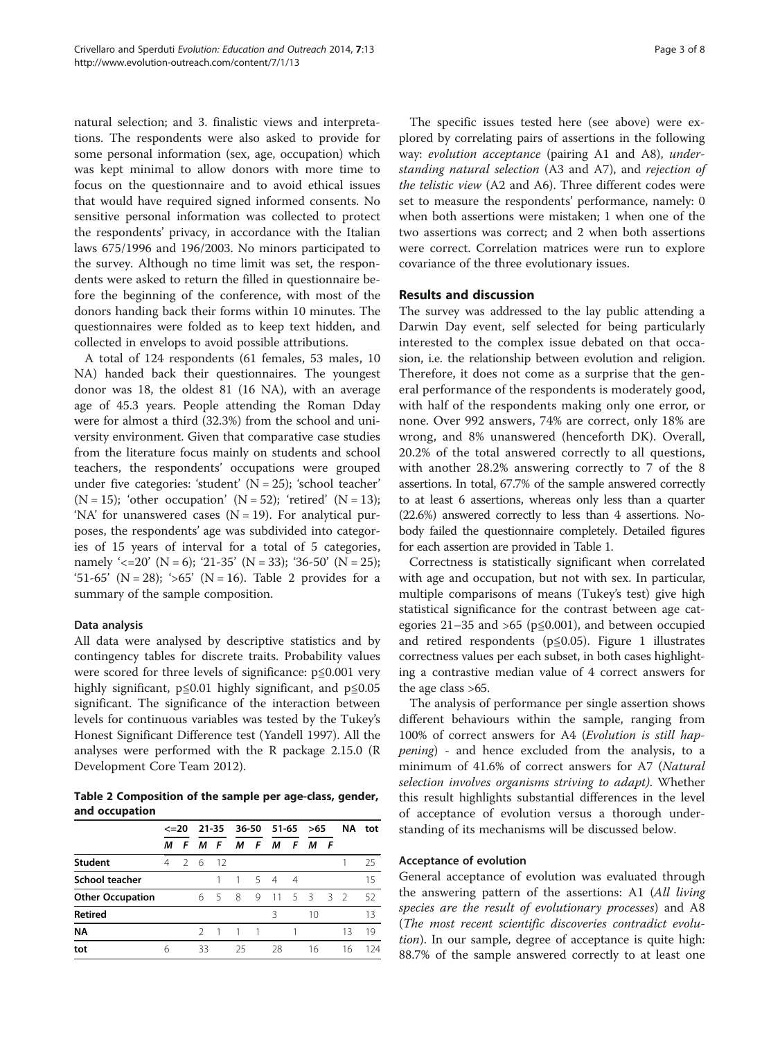natural selection; and 3. finalistic views and interpretations. The respondents were also asked to provide for some personal information (sex, age, occupation) which was kept minimal to allow donors with more time to focus on the questionnaire and to avoid ethical issues that would have required signed informed consents. No sensitive personal information was collected to protect the respondents' privacy, in accordance with the Italian laws 675/1996 and 196/2003. No minors participated to the survey. Although no time limit was set, the respondents were asked to return the filled in questionnaire before the beginning of the conference, with most of the donors handing back their forms within 10 minutes. The questionnaires were folded as to keep text hidden, and collected in envelops to avoid possible attributions.

A total of 124 respondents (61 females, 53 males, 10 NA) handed back their questionnaires. The youngest donor was 18, the oldest 81 (16 NA), with an average age of 45.3 years. People attending the Roman Dday were for almost a third (32.3%) from the school and university environment. Given that comparative case studies from the literature focus mainly on students and school teachers, the respondents' occupations were grouped under five categories: 'student'  $(N = 25)$ ; 'school teacher' ( $N = 15$ ); 'other occupation' ( $N = 52$ ); 'retired' ( $N = 13$ ); 'NA' for unanswered cases  $(N = 19)$ . For analytical purposes, the respondents' age was subdivided into categories of 15 years of interval for a total of 5 categories, namely '<=20' (N = 6); '21-35' (N = 33); '36-50' (N = 25); '51-65' (N = 28); '>65' (N = 16). Table 2 provides for a summary of the sample composition.

# Data analysis

All data were analysed by descriptive statistics and by contingency tables for discrete traits. Probability values were scored for three levels of significance: p≦0.001 very highly significant,  $p \le 0.01$  highly significant, and  $p \le 0.05$ significant. The significance of the interaction between levels for continuous variables was tested by the Tukey's Honest Significant Difference test (Yandell [1997](#page-7-0)). All the analyses were performed with the R package 2.15.0 (R Development Core Team [2012\)](#page-6-0).

Table 2 Composition of the sample per age-class, gender, and occupation

|                         | $\leq$ 20 |   | 21-35 36-50 51-65 >65 |     |    |    |     |                |     |   | NA.            | tot |
|-------------------------|-----------|---|-----------------------|-----|----|----|-----|----------------|-----|---|----------------|-----|
|                         | м         | F | М                     | F   | М  | F. | М   | F              | М   | F |                |     |
| <b>Student</b>          | 4         |   | 26                    | -12 |    |    |     |                |     |   |                | 25  |
| School teacher          |           |   |                       |     | 1  |    | 5 4 | $\overline{4}$ |     |   |                | 15  |
| <b>Other Occupation</b> |           |   | 6                     | 5   | 8  | 9  | 11  | - 5            | - 3 | Κ | $\overline{z}$ | 52  |
| <b>Retired</b>          |           |   |                       |     |    |    | ζ   |                | 10  |   |                | 13  |
| <b>NA</b>               |           |   | $\mathcal{P}$         |     | 1  |    |     |                |     |   | 13             | 19  |
| tot                     | 6         |   | 33                    |     | 25 |    | 28  |                | 16  |   | 16             | 124 |
|                         |           |   |                       |     |    |    |     |                |     |   |                |     |

The specific issues tested here (see above) were explored by correlating pairs of assertions in the following way: evolution acceptance (pairing A1 and A8), understanding natural selection (A3 and A7), and rejection of the telistic view (A2 and A6). Three different codes were set to measure the respondents' performance, namely: 0 when both assertions were mistaken; 1 when one of the two assertions was correct; and 2 when both assertions were correct. Correlation matrices were run to explore covariance of the three evolutionary issues.

#### Results and discussion

The survey was addressed to the lay public attending a Darwin Day event, self selected for being particularly interested to the complex issue debated on that occasion, i.e. the relationship between evolution and religion. Therefore, it does not come as a surprise that the general performance of the respondents is moderately good, with half of the respondents making only one error, or none. Over 992 answers, 74% are correct, only 18% are wrong, and 8% unanswered (henceforth DK). Overall, 20.2% of the total answered correctly to all questions, with another 28.2% answering correctly to 7 of the 8 assertions. In total, 67.7% of the sample answered correctly to at least 6 assertions, whereas only less than a quarter (22.6%) answered correctly to less than 4 assertions. Nobody failed the questionnaire completely. Detailed figures for each assertion are provided in Table [1.](#page-1-0)

Correctness is statistically significant when correlated with age and occupation, but not with sex. In particular, multiple comparisons of means (Tukey's test) give high statistical significance for the contrast between age categories 21–35 and >65 ( $p \le 0.001$ ), and between occupied and retired respondents ( $p \le 0.05$ ). Figure [1](#page-3-0) illustrates correctness values per each subset, in both cases highlighting a contrastive median value of 4 correct answers for the age class >65.

The analysis of performance per single assertion shows different behaviours within the sample, ranging from 100% of correct answers for A4 (Evolution is still happening) - and hence excluded from the analysis, to a minimum of 41.6% of correct answers for A7 (Natural selection involves organisms striving to adapt). Whether this result highlights substantial differences in the level of acceptance of evolution versus a thorough understanding of its mechanisms will be discussed below.

#### Acceptance of evolution

General acceptance of evolution was evaluated through the answering pattern of the assertions: A1 (All living species are the result of evolutionary processes) and A8 (The most recent scientific discoveries contradict evolution). In our sample, degree of acceptance is quite high: 88.7% of the sample answered correctly to at least one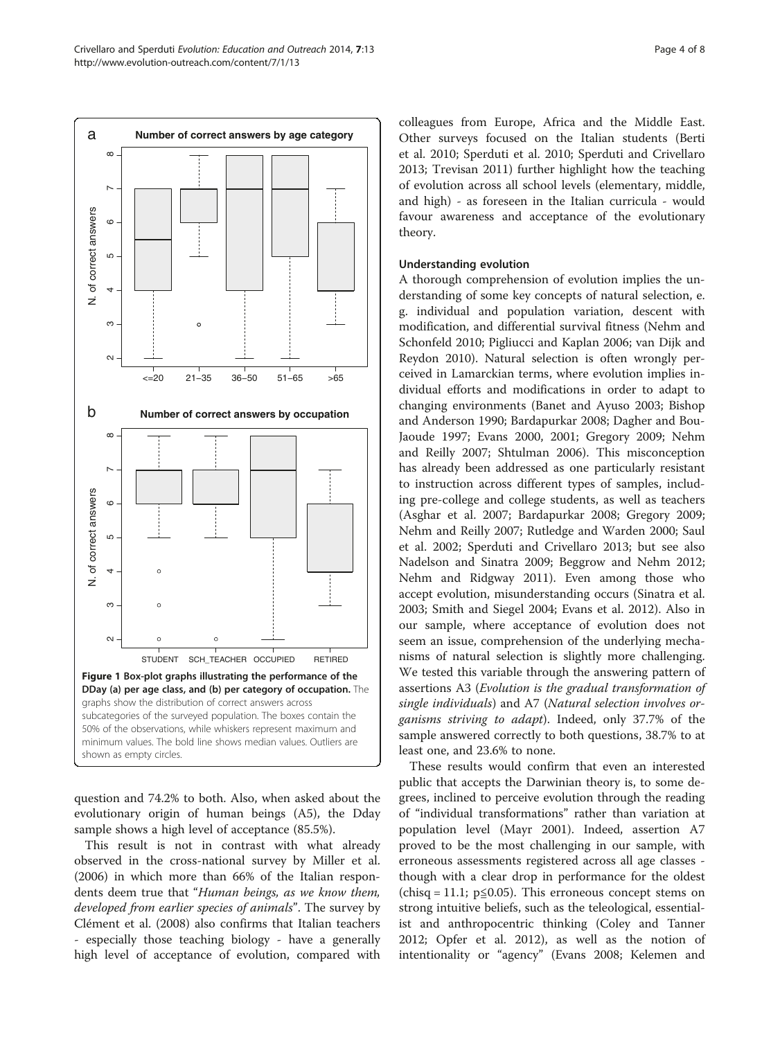<span id="page-3-0"></span>

question and 74.2% to both. Also, when asked about the evolutionary origin of human beings (A5), the Dday sample shows a high level of acceptance (85.5%).

This result is not in contrast with what already observed in the cross-national survey by Miller et al. ([2006](#page-6-0)) in which more than 66% of the Italian respondents deem true that "Human beings, as we know them, developed from earlier species of animals". The survey by Clément et al. [\(2008\)](#page-5-0) also confirms that Italian teachers - especially those teaching biology - have a generally high level of acceptance of evolution, compared with colleagues from Europe, Africa and the Middle East. Other surveys focused on the Italian students (Berti et al. [2010](#page-5-0); Sperduti et al. [2010;](#page-7-0) Sperduti and Crivellaro [2013](#page-7-0); Trevisan [2011\)](#page-7-0) further highlight how the teaching of evolution across all school levels (elementary, middle, and high) - as foreseen in the Italian curricula - would favour awareness and acceptance of the evolutionary theory.

#### Understanding evolution

A thorough comprehension of evolution implies the understanding of some key concepts of natural selection, e. g. individual and population variation, descent with modification, and differential survival fitness (Nehm and Schonfeld 2010; Pigliucci and Kaplan [2006](#page-6-0); van Dijk and Reydon [2010\)](#page-7-0). Natural selection is often wrongly perceived in Lamarckian terms, where evolution implies individual efforts and modifications in order to adapt to changing environments (Banet and Ayuso [2003;](#page-5-0) Bishop and Anderson [1990](#page-5-0); Bardapurkar [2008](#page-5-0); Dagher and Bou-Jaoude [1997](#page-6-0); Evans [2000, 2001](#page-6-0); Gregory [2009;](#page-6-0) Nehm and Reilly [2007;](#page-6-0) Shtulman [2006\)](#page-6-0). This misconception has already been addressed as one particularly resistant to instruction across different types of samples, including pre-college and college students, as well as teachers (Asghar et al. [2007](#page-5-0); Bardapurkar [2008](#page-5-0); Gregory [2009](#page-6-0); Nehm and Reilly [2007](#page-6-0); Rutledge and Warden [2000;](#page-6-0) Saul et al. [2002](#page-6-0); Sperduti and Crivellaro [2013](#page-7-0); but see also Nadelson and Sinatra [2009](#page-6-0); Beggrow and Nehm [2012](#page-5-0); Nehm and Ridgway [2011](#page-6-0)). Even among those who accept evolution, misunderstanding occurs (Sinatra et al. [2003](#page-7-0); Smith and Siegel [2004](#page-7-0); Evans et al. [2012\)](#page-6-0). Also in our sample, where acceptance of evolution does not seem an issue, comprehension of the underlying mechanisms of natural selection is slightly more challenging. We tested this variable through the answering pattern of assertions A3 (Evolution is the gradual transformation of single individuals) and A7 (Natural selection involves organisms striving to adapt). Indeed, only 37.7% of the sample answered correctly to both questions, 38.7% to at least one, and 23.6% to none.

These results would confirm that even an interested public that accepts the Darwinian theory is, to some degrees, inclined to perceive evolution through the reading of "individual transformations" rather than variation at population level (Mayr [2001](#page-6-0)). Indeed, assertion A7 proved to be the most challenging in our sample, with erroneous assessments registered across all age classes though with a clear drop in performance for the oldest (chisq = 11.1;  $p \le 0.05$ ). This erroneous concept stems on strong intuitive beliefs, such as the teleological, essentialist and anthropocentric thinking (Coley and Tanner [2012](#page-6-0); Opfer et al. [2012](#page-6-0)), as well as the notion of intentionality or "agency" (Evans [2008](#page-6-0); Kelemen and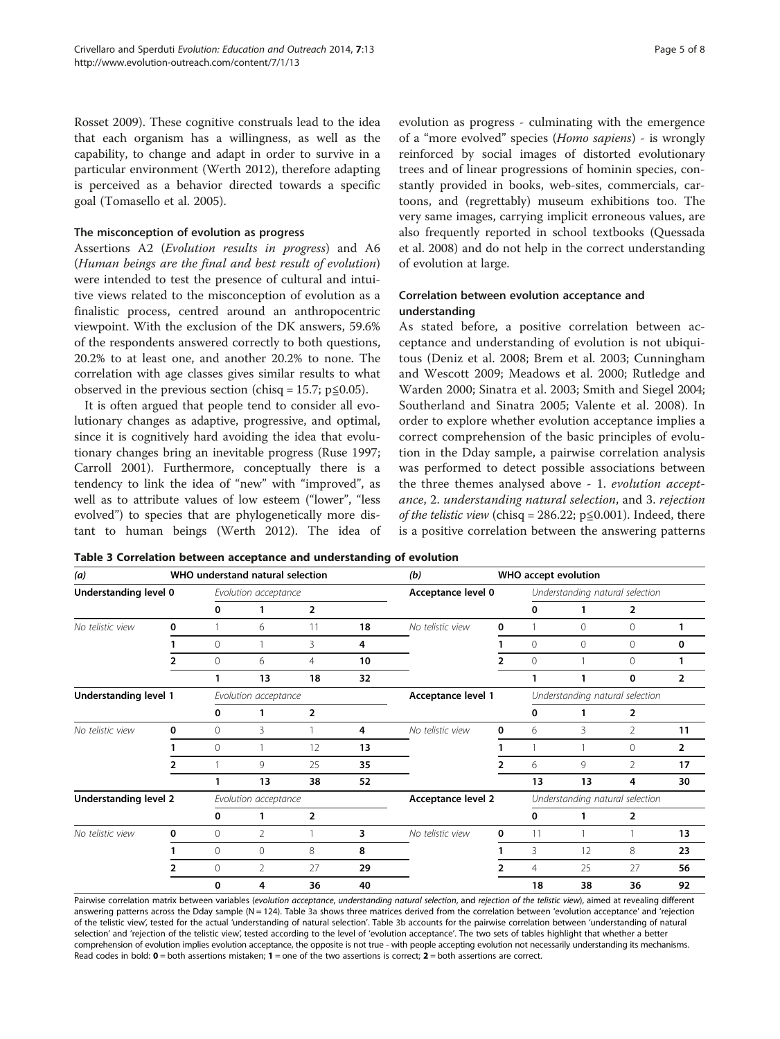<span id="page-4-0"></span>Rosset [2009\)](#page-6-0). These cognitive construals lead to the idea that each organism has a willingness, as well as the capability, to change and adapt in order to survive in a particular environment (Werth [2012\)](#page-7-0), therefore adapting is perceived as a behavior directed towards a specific goal (Tomasello et al. [2005\)](#page-7-0).

#### The misconception of evolution as progress

Assertions A2 (Evolution results in progress) and A6 (Human beings are the final and best result of evolution) were intended to test the presence of cultural and intuitive views related to the misconception of evolution as a finalistic process, centred around an anthropocentric viewpoint. With the exclusion of the DK answers, 59.6% of the respondents answered correctly to both questions, 20.2% to at least one, and another 20.2% to none. The correlation with age classes gives similar results to what observed in the previous section (chisq = 15.7;  $p \le 0.05$ ).

It is often argued that people tend to consider all evolutionary changes as adaptive, progressive, and optimal, since it is cognitively hard avoiding the idea that evolutionary changes bring an inevitable progress (Ruse [1997](#page-6-0); Carroll [2001](#page-5-0)). Furthermore, conceptually there is a tendency to link the idea of "new" with "improved", as well as to attribute values of low esteem ("lower", "less evolved") to species that are phylogenetically more distant to human beings (Werth [2012](#page-7-0)). The idea of

evolution as progress - culminating with the emergence of a "more evolved" species (Homo sapiens) - is wrongly reinforced by social images of distorted evolutionary trees and of linear progressions of hominin species, constantly provided in books, web-sites, commercials, cartoons, and (regrettably) museum exhibitions too. The very same images, carrying implicit erroneous values, are also frequently reported in school textbooks (Quessada et al. [2008\)](#page-6-0) and do not help in the correct understanding of evolution at large.

# Correlation between evolution acceptance and understanding

As stated before, a positive correlation between acceptance and understanding of evolution is not ubiquitous (Deniz et al. [2008;](#page-6-0) Brem et al. [2003](#page-5-0); Cunningham and Wescott [2009](#page-6-0); Meadows et al. [2000;](#page-6-0) Rutledge and Warden [2000;](#page-6-0) Sinatra et al. [2003](#page-7-0); Smith and Siegel [2004](#page-7-0); Southerland and Sinatra [2005;](#page-7-0) Valente et al. [2008](#page-7-0)). In order to explore whether evolution acceptance implies a correct comprehension of the basic principles of evolution in the Dday sample, a pairwise correlation analysis was performed to detect possible associations between the three themes analysed above - 1. evolution acceptance, 2. understanding natural selection, and 3. rejection of the telistic view (chisq = 286.22;  $p \le 0.001$ ). Indeed, there is a positive correlation between the answering patterns

Table 3 Correlation between acceptance and understanding of evolution

| (a)                   |                      | WHO understand natural selection |                |                         |                    | (b)                             |                                 | WHO accept evolution            |              |                |    |  |  |
|-----------------------|----------------------|----------------------------------|----------------|-------------------------|--------------------|---------------------------------|---------------------------------|---------------------------------|--------------|----------------|----|--|--|
| Understanding level 0 |                      | Evolution acceptance             |                |                         |                    | Acceptance level 0              |                                 | Understanding natural selection |              |                |    |  |  |
|                       |                      | 0                                |                | 2                       |                    |                                 |                                 | 0                               | 1            | $\overline{2}$ |    |  |  |
| No telistic view      | 0                    |                                  | 6              | 11                      | 18                 | No telistic view                | 0                               |                                 | $\circ$      | $\circ$        |    |  |  |
|                       |                      | 0                                |                | 3                       | 4                  |                                 |                                 | $\mathbf{0}$                    | 0            | $\circ$        | 0  |  |  |
|                       | 2                    | 0                                | 6              | $\overline{4}$          | 10                 |                                 |                                 | 0                               |              | $\circ$        |    |  |  |
|                       |                      |                                  | 13             | 18                      | 32                 |                                 |                                 | 1                               |              | 0              | 2  |  |  |
| Understanding level 1 | Evolution acceptance |                                  |                |                         | Acceptance level 1 | Understanding natural selection |                                 |                                 |              |                |    |  |  |
|                       |                      | 0                                |                | $\overline{\mathbf{2}}$ |                    |                                 |                                 | 0                               |              | $\overline{2}$ |    |  |  |
| No telistic view      | 0                    | 0                                | 3              |                         | 4                  | No telistic view                | 0                               | 6                               | 3            | 2              | 11 |  |  |
|                       |                      | 0                                |                | 12                      | 13                 |                                 |                                 |                                 |              | $\circ$        | 2  |  |  |
|                       | 2                    |                                  | 9              | 25                      | 35                 |                                 |                                 | 6                               | 9            | $\overline{2}$ | 17 |  |  |
|                       |                      |                                  | 13             | 38                      | 52                 |                                 |                                 | 13                              | 13           | 4              | 30 |  |  |
| Understanding level 2 |                      | Evolution acceptance             |                |                         |                    | Acceptance level 2              | Understanding natural selection |                                 |              |                |    |  |  |
|                       |                      | 0                                | 1              | $\overline{\mathbf{2}}$ |                    |                                 |                                 | 0                               | 1            | $\overline{2}$ |    |  |  |
| No telistic view      | 0                    | $\Omega$                         | $\overline{2}$ |                         | 3                  | No telistic view                | 0                               | 11                              | $\mathbf{1}$ |                | 13 |  |  |
|                       |                      | $\Omega$                         | $\circ$        | 8                       | 8                  |                                 |                                 | 3                               | 12           | 8              | 23 |  |  |
|                       | 2                    | $\Omega$                         | 2              | 27                      | 29                 |                                 |                                 | 4                               | 25           | 27             | 56 |  |  |
|                       |                      | 0                                | 4              | 36                      | 40                 |                                 |                                 | 18                              | 38           | 36             | 92 |  |  |

Pairwise correlation matrix between variables (evolution acceptance, understanding natural selection, and rejection of the telistic view), aimed at revealing different answering patterns across the Dday sample (N = 124). Table 3a shows three matrices derived from the correlation between 'evolution acceptance' and 'rejection of the telistic view', tested for the actual 'understanding of natural selection'. Table 3b accounts for the pairwise correlation between 'understanding of natural selection' and 'rejection of the telistic view', tested according to the level of 'evolution acceptance'. The two sets of tables highlight that whether a better comprehension of evolution implies evolution acceptance, the opposite is not true - with people accepting evolution not necessarily understanding its mechanisms. Read codes in bold:  $0 =$  both assertions mistaken;  $1 =$  one of the two assertions is correct;  $2 =$  both assertions are correct.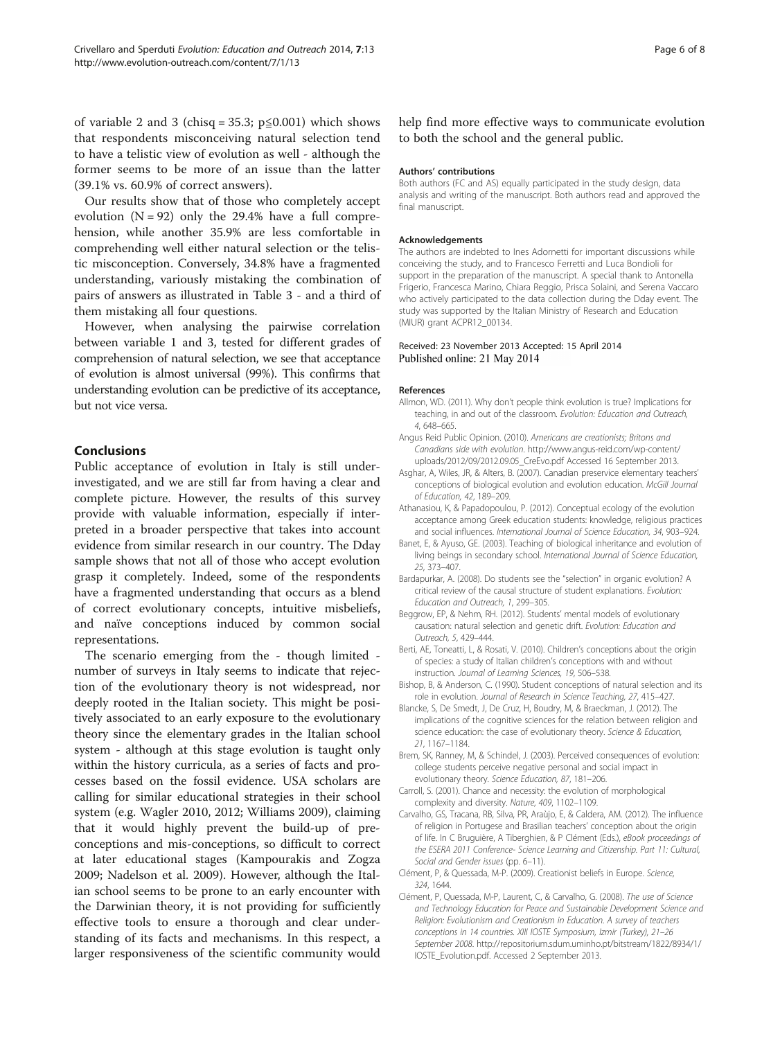<span id="page-5-0"></span>of variable 2 and 3 (chisq = 35.3;  $p \le 0.001$ ) which shows that respondents misconceiving natural selection tend to have a telistic view of evolution as well - although the former seems to be more of an issue than the latter (39.1% vs. 60.9% of correct answers).

Our results show that of those who completely accept evolution  $(N = 92)$  only the 29.4% have a full comprehension, while another 35.9% are less comfortable in comprehending well either natural selection or the telistic misconception. Conversely, 34.8% have a fragmented understanding, variously mistaking the combination of pairs of answers as illustrated in Table [3](#page-4-0) - and a third of them mistaking all four questions.

However, when analysing the pairwise correlation between variable 1 and 3, tested for different grades of comprehension of natural selection, we see that acceptance of evolution is almost universal (99%). This confirms that understanding evolution can be predictive of its acceptance, but not vice versa.

# Conclusions

Public acceptance of evolution in Italy is still underinvestigated, and we are still far from having a clear and complete picture. However, the results of this survey provide with valuable information, especially if interpreted in a broader perspective that takes into account evidence from similar research in our country. The Dday sample shows that not all of those who accept evolution grasp it completely. Indeed, some of the respondents have a fragmented understanding that occurs as a blend of correct evolutionary concepts, intuitive misbeliefs, and naïve conceptions induced by common social representations.

The scenario emerging from the - though limited number of surveys in Italy seems to indicate that rejection of the evolutionary theory is not widespread, nor deeply rooted in the Italian society. This might be positively associated to an early exposure to the evolutionary theory since the elementary grades in the Italian school system - although at this stage evolution is taught only within the history curricula, as a series of facts and processes based on the fossil evidence. USA scholars are calling for similar educational strategies in their school system (e.g. Wagler [2010, 2012;](#page-7-0) Williams [2009\)](#page-7-0), claiming that it would highly prevent the build-up of preconceptions and mis-conceptions, so difficult to correct at later educational stages (Kampourakis and Zogza [2009](#page-6-0); Nadelson et al. [2009](#page-6-0)). However, although the Italian school seems to be prone to an early encounter with the Darwinian theory, it is not providing for sufficiently effective tools to ensure a thorough and clear understanding of its facts and mechanisms. In this respect, a larger responsiveness of the scientific community would help find more effective ways to communicate evolution to both the school and the general public.

#### Authors' contributions

Both authors (FC and AS) equally participated in the study design, data analysis and writing of the manuscript. Both authors read and approved the final manuscript.

#### Acknowledgements

The authors are indebted to Ines Adornetti for important discussions while conceiving the study, and to Francesco Ferretti and Luca Bondioli for support in the preparation of the manuscript. A special thank to Antonella Frigerio, Francesca Marino, Chiara Reggio, Prisca Solaini, and Serena Vaccaro who actively participated to the data collection during the Dday event. The study was supported by the Italian Ministry of Research and Education (MIUR) grant ACPR12\_00134.

#### Received: 23 November 2013 Accepted: 15 April 2014 Published online: 21 May 2014

#### References

- Allmon, WD. (2011). Why don't people think evolution is true? Implications for teaching, in and out of the classroom. Evolution: Education and Outreach, 4, 648–665.
- Angus Reid Public Opinion. (2010). Americans are creationists; Britons and Canadians side with evolution. http://www.angus-reid.com/wp-content/ uploads/2012/09/2012.09.05 CreEvo.pdf Accessed 16 September 2013.
- Asghar, A, Wiles, JR, & Alters, B. (2007). Canadian preservice elementary teachers' conceptions of biological evolution and evolution education. McGill Journal of Education, 42, 189–209.
- Athanasiou, K, & Papadopoulou, P. (2012). Conceptual ecology of the evolution acceptance among Greek education students: knowledge, religious practices and social influences. International Journal of Science Education, 34, 903–924.
- Banet, E, & Ayuso, GE. (2003). Teaching of biological inheritance and evolution of living beings in secondary school. International Journal of Science Education, 25, 373–407.
- Bardapurkar, A. (2008). Do students see the "selection" in organic evolution? A critical review of the causal structure of student explanations. Evolution: Education and Outreach, 1, 299–305.
- Beggrow, EP, & Nehm, RH. (2012). Students' mental models of evolutionary causation: natural selection and genetic drift. Evolution: Education and Outreach, 5, 429–444.
- Berti, AE, Toneatti, L, & Rosati, V. (2010). Children's conceptions about the origin of species: a study of Italian children's conceptions with and without instruction. Journal of Learning Sciences, 19, 506–538.
- Bishop, B, & Anderson, C. (1990). Student conceptions of natural selection and its role in evolution. Journal of Research in Science Teaching, 27, 415–427.
- Blancke, S, De Smedt, J, De Cruz, H, Boudry, M, & Braeckman, J. (2012). The implications of the cognitive sciences for the relation between religion and science education: the case of evolutionary theory. Science & Education, 21, 1167–1184.
- Brem, SK, Ranney, M, & Schindel, J. (2003). Perceived consequences of evolution: college students perceive negative personal and social impact in evolutionary theory. Science Education, 87, 181–206.
- Carroll, S. (2001). Chance and necessity: the evolution of morphological complexity and diversity. Nature, 409, 1102–1109.
- Carvalho, GS, Tracana, RB, Silva, PR, Araùjo, E, & Caldera, AM. (2012). The influence of religion in Portugese and Brasilian teachers' conception about the origin of life. In C Bruguière, A Tiberghien, & P Clément (Eds.), eBook proceedings of the ESERA 2011 Conference- Science Learning and Citizenship. Part 11: Cultural, Social and Gender issues (pp. 6–11).
- Clément, P, & Quessada, M-P. (2009). Creationist beliefs in Europe. Science, 324, 1644.
- Clément, P, Quessada, M-P, Laurent, C, & Carvalho, G. (2008). The use of Science and Technology Education for Peace and Sustainable Development Science and Religion: Evolutionism and Creationism in Education. A survey of teachers conceptions in 14 countries. XIII IOSTE Symposium, Izmir (Turkey), 21–26 September 2008. http://repositorium.sdum.uminho.pt/bitstream/1822/8934/1/ IOSTE\_Evolution.pdf. Accessed 2 September 2013.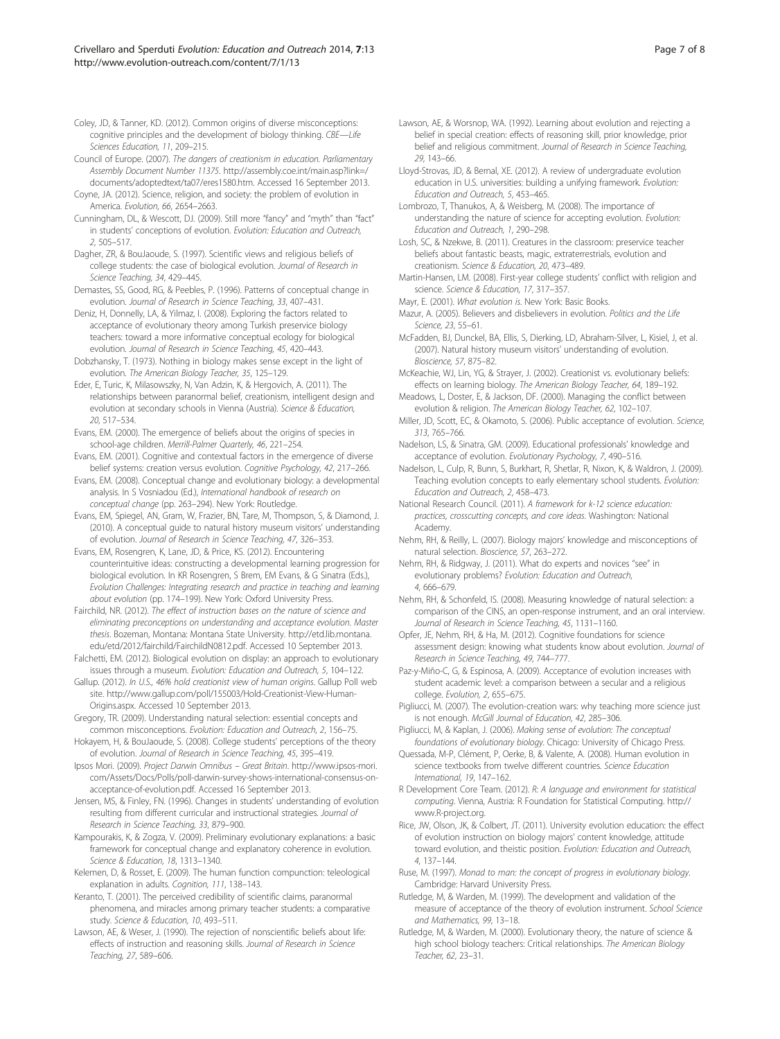<span id="page-6-0"></span>Coley, JD, & Tanner, KD. (2012). Common origins of diverse misconceptions: cognitive principles and the development of biology thinking. CBE—Life Sciences Education, 11, 209–215.

Council of Europe. (2007). The dangers of creationism in education. Parliamentary Assembly Document Number 11375. http://assembly.coe.int/main.asp?link=/ documents/adoptedtext/ta07/eres1580.htm. Accessed 16 September 2013.

Coyne, JA. (2012). Science, religion, and society: the problem of evolution in America. Evolution, 66, 2654–2663.

Cunningham, DL, & Wescott, DJ. (2009). Still more "fancy" and "myth" than "fact" in students' conceptions of evolution. Evolution: Education and Outreach, 2, 505–517.

Dagher, ZR, & BouJaoude, S. (1997). Scientific views and religious beliefs of college students: the case of biological evolution. Journal of Research in Science Teaching, 34, 429–445.

Demastes, SS, Good, RG, & Peebles, P. (1996). Patterns of conceptual change in evolution. Journal of Research in Science Teaching, 33, 407–431.

Deniz, H, Donnelly, LA, & Yilmaz, I. (2008). Exploring the factors related to acceptance of evolutionary theory among Turkish preservice biology teachers: toward a more informative conceptual ecology for biological evolution. Journal of Research in Science Teaching, 45, 420–443.

Dobzhansky, T. (1973). Nothing in biology makes sense except in the light of evolution. The American Biology Teacher, 35, 125–129.

Eder, E, Turic, K, Milasowszky, N, Van Adzin, K, & Hergovich, A. (2011). The relationships between paranormal belief, creationism, intelligent design and evolution at secondary schools in Vienna (Austria). Science & Education, 20, 517–534.

Evans, EM. (2000). The emergence of beliefs about the origins of species in school-age children. Merrill-Palmer Quarterly, 46, 221–254.

Evans, EM. (2001). Cognitive and contextual factors in the emergence of diverse belief systems: creation versus evolution. Cognitive Psychology, 42, 217–266.

Evans, EM. (2008). Conceptual change and evolutionary biology: a developmental analysis. In S Vosniadou (Ed.), International handbook of research on conceptual change (pp. 263–294). New York: Routledge.

Evans, EM, Spiegel, AN, Gram, W, Frazier, BN, Tare, M, Thompson, S, & Diamond, J. (2010). A conceptual guide to natural history museum visitors' understanding of evolution. Journal of Research in Science Teaching, 47, 326–353.

Evans, EM, Rosengren, K, Lane, JD, & Price, KS. (2012). Encountering counterintuitive ideas: constructing a developmental learning progression for biological evolution. In KR Rosengren, S Brem, EM Evans, & G Sinatra (Eds.), Evolution Challenges: Integrating research and practice in teaching and learning about evolution (pp. 174–199). New York: Oxford University Press.

Fairchild, NR. (2012). The effect of instruction bases on the nature of science and eliminating preconceptions on understanding and acceptance evolution. Master thesis. Bozeman, Montana: Montana State University. http://etd.lib.montana. edu/etd/2012/fairchild/FairchildN0812.pdf. Accessed 10 September 2013.

Falchetti, EM. (2012). Biological evolution on display: an approach to evolutionary issues through a museum. Evolution: Education and Outreach, 5, 104–122.

Gallup. (2012). In U.S., 46% hold creationist view of human origins. Gallup Poll web site. http://www.gallup.com/poll/155003/Hold-Creationist-View-Human-Origins.aspx. Accessed 10 September 2013.

Gregory, TR. (2009). Understanding natural selection: essential concepts and common misconceptions. Evolution: Education and Outreach, 2, 156–75.

Hokayem, H, & BouJaoude, S. (2008). College students' perceptions of the theory of evolution. Journal of Research in Science Teaching, 45, 395–419.

Ipsos Mori. (2009). Project Darwin Omnibus – Great Britain. http://www.ipsos-mori. com/Assets/Docs/Polls/poll-darwin-survey-shows-international-consensus-onacceptance-of-evolution.pdf. Accessed 16 September 2013.

Jensen, MS, & Finley, FN. (1996). Changes in students' understanding of evolution resulting from different curricular and instructional strategies. Journal of Research in Science Teaching, 33, 879–900.

Kampourakis, K, & Zogza, V. (2009). Preliminary evolutionary explanations: a basic framework for conceptual change and explanatory coherence in evolution. Science & Education, 18, 1313–1340.

Kelemen, D, & Rosset, E. (2009). The human function compunction: teleological explanation in adults. Cognition, 111, 138–143.

Keranto, T. (2001). The perceived credibility of scientific claims, paranormal phenomena, and miracles among primary teacher students: a comparative study. Science & Education, 10, 493–511.

Lawson, AE, & Weser, J. (1990). The rejection of nonscientific beliefs about life: effects of instruction and reasoning skills. Journal of Research in Science Teaching, 27, 589–606.

Lawson, AE, & Worsnop, WA. (1992). Learning about evolution and rejecting a belief in special creation: effects of reasoning skill, prior knowledge, prior belief and religious commitment. Journal of Research in Science Teaching, 29, 143–66.

Lloyd-Strovas, JD, & Bernal, XE. (2012). A review of undergraduate evolution education in U.S. universities: building a unifying framework. Evolution: Education and Outreach, 5, 453–465.

Lombrozo, T, Thanukos, A, & Weisberg, M. (2008). The importance of understanding the nature of science for accepting evolution. Evolution: Education and Outreach, 1, 290–298.

Losh, SC, & Nzekwe, B. (2011). Creatures in the classroom: preservice teacher beliefs about fantastic beasts, magic, extraterrestrials, evolution and creationism. Science & Education, 20, 473–489.

Martin-Hansen, LM. (2008). First-year college students' conflict with religion and science. Science & Education, 17, 317–357.

Mayr, E. (2001). What evolution is. New York: Basic Books.

Mazur, A. (2005). Believers and disbelievers in evolution. Politics and the Life Science, 23, 55–61.

McFadden, BJ, Dunckel, BA, Ellis, S, Dierking, LD, Abraham-Silver, L, Kisiel, J, et al. (2007). Natural history museum visitors' understanding of evolution. Bioscience, 57, 875–82.

McKeachie, WJ, Lin, YG, & Strayer, J. (2002). Creationist vs. evolutionary beliefs: effects on learning biology. The American Biology Teacher, 64, 189–192.

Meadows, L, Doster, E, & Jackson, DF. (2000). Managing the conflict between evolution & religion. The American Biology Teacher, 62, 102–107.

Miller, JD, Scott, EC, & Okamoto, S. (2006). Public acceptance of evolution. Science, 313, 765–766.

Nadelson, LS, & Sinatra, GM. (2009). Educational professionals' knowledge and acceptance of evolution. Evolutionary Psychology, 7, 490–516.

Nadelson, L, Culp, R, Bunn, S, Burkhart, R, Shetlar, R, Nixon, K, & Waldron, J. (2009). Teaching evolution concepts to early elementary school students. Evolution: Education and Outreach, 2, 458–473.

National Research Council. (2011). A framework for k-12 science education: practices, crosscutting concepts, and core ideas. Washington: National Academy.

Nehm, RH, & Reilly, L. (2007). Biology majors' knowledge and misconceptions of natural selection. Bioscience, 57, 263–272.

Nehm, RH, & Ridgway, J. (2011). What do experts and novices "see" in evolutionary problems? Evolution: Education and Outreach, 4, 666–679.

Nehm, RH, & Schonfeld, IS. (2008). Measuring knowledge of natural selection: a comparison of the CINS, an open-response instrument, and an oral interview. Journal of Research in Science Teaching, 45, 1131–1160.

Opfer, JE, Nehm, RH, & Ha, M. (2012). Cognitive foundations for science assessment design: knowing what students know about evolution. Journal of Research in Science Teaching, 49, 744–777.

Paz-y-Miño-C, G, & Espinosa, A. (2009). Acceptance of evolution increases with student academic level: a comparison between a secular and a religious college. Evolution, 2, 655–675.

Pigliucci, M. (2007). The evolution-creation wars: why teaching more science just is not enough. McGill Journal of Education, 42, 285–306.

Pigliucci, M, & Kaplan, J. (2006). Making sense of evolution: The conceptual foundations of evolutionary biology. Chicago: University of Chicago Press.

Quessada, M-P, Clément, P, Oerke, B, & Valente, A. (2008). Human evolution in science textbooks from twelve different countries. Science Education International, 19, 147–162.

R Development Core Team. (2012). R: A language and environment for statistical computing. Vienna, Austria: R Foundation for Statistical Computing. http:// www.R-project.org.

Rice, JW, Olson, JK, & Colbert, JT. (2011). University evolution education: the effect of evolution instruction on biology majors' content knowledge, attitude toward evolution, and theistic position. Evolution: Education and Outreach, 4, 137–144.

Ruse, M. (1997). Monad to man: the concept of progress in evolutionary biology. Cambridge: Harvard University Press.

Rutledge, M, & Warden, M. (1999). The development and validation of the measure of acceptance of the theory of evolution instrument. School Science and Mathematics, 99, 13–18.

Rutledge, M, & Warden, M. (2000). Evolutionary theory, the nature of science & high school biology teachers: Critical relationships. The American Biology Teacher, 62, 23–31.